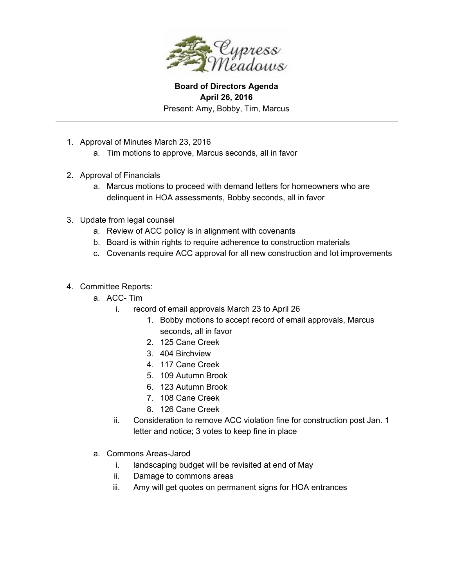

**Board of Directors Agenda April 26, 2016** Present: Amy, Bobby, Tim, Marcus

- 1. Approval of Minutes March 23, 2016
	- a. Tim motions to approve, Marcus seconds, all in favor
- 2. Approval of Financials
	- a. Marcus motions to proceed with demand letters for homeowners who are delinquent in HOA assessments, Bobby seconds, all in favor
- 3. Update from legal counsel
	- a. Review of ACC policy is in alignment with covenants
	- b. Board is within rights to require adherence to construction materials
	- c. Covenants require ACC approval for all new construction and lot improvements
- 4. Committee Reports:
	- a. ACC-Tim
		- i. record of email approvals March 23 to April 26
			- 1. Bobby motions to accept record of email approvals, Marcus seconds, all in favor
			- 2. 125 Cane Creek
			- 3. 404 Birchview
			- 4. 117 Cane Creek
			- 5. 109 Autumn Brook
			- 6. 123 Autumn Brook
			- 7. 108 Cane Creek
			- 8. 126 Cane Creek
		- ii. Consideration to remove ACC violation fine for construction post Jan. 1 letter and notice; 3 votes to keep fine in place
	- a. Commons Areas-Jarod
		- i. landscaping budget will be revisited at end of May
		- ii. Damage to commons areas
		- iii. Amy will get quotes on permanent signs for HOA entrances